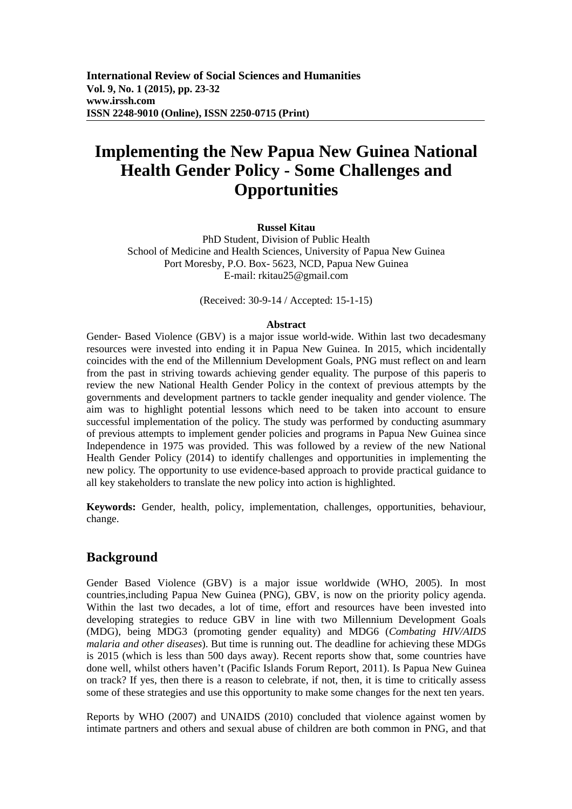# **Implementing the New Papua New Guinea National Health Gender Policy - Some Challenges and Opportunities**

#### **Russel Kitau**

PhD Student, Division of Public Health School of Medicine and Health Sciences, University of Papua New Guinea Port Moresby, P.O. Box- 5623, NCD, Papua New Guinea E-mail: rkitau25@gmail.com

(Received: 30-9-14 / Accepted: 15-1-15)

#### **Abstract**

Gender- Based Violence (GBV) is a major issue world-wide. Within last two decadesmany resources were invested into ending it in Papua New Guinea. In 2015, which incidentally coincides with the end of the Millennium Development Goals, PNG must reflect on and learn from the past in striving towards achieving gender equality. The purpose of this paperis to review the new National Health Gender Policy in the context of previous attempts by the governments and development partners to tackle gender inequality and gender violence. The aim was to highlight potential lessons which need to be taken into account to ensure successful implementation of the policy. The study was performed by conducting asummary of previous attempts to implement gender policies and programs in Papua New Guinea since Independence in 1975 was provided. This was followed by a review of the new National Health Gender Policy (2014) to identify challenges and opportunities in implementing the new policy. The opportunity to use evidence-based approach to provide practical guidance to all key stakeholders to translate the new policy into action is highlighted.

**Keywords:** Gender, health, policy, implementation, challenges, opportunities, behaviour, change.

## **Background**

Gender Based Violence (GBV) is a major issue worldwide (WHO, 2005). In most countries,including Papua New Guinea (PNG), GBV, is now on the priority policy agenda. Within the last two decades, a lot of time, effort and resources have been invested into developing strategies to reduce GBV in line with two Millennium Development Goals (MDG), being MDG3 (promoting gender equality) and MDG6 (*Combating HIV/AIDS malaria and other diseases*). But time is running out. The deadline for achieving these MDGs is 2015 (which is less than 500 days away). Recent reports show that, some countries have done well, whilst others haven't (Pacific Islands Forum Report, 2011). Is Papua New Guinea on track? If yes, then there is a reason to celebrate, if not, then, it is time to critically assess some of these strategies and use this opportunity to make some changes for the next ten years.

Reports by WHO (2007) and UNAIDS (2010) concluded that violence against women by intimate partners and others and sexual abuse of children are both common in PNG, and that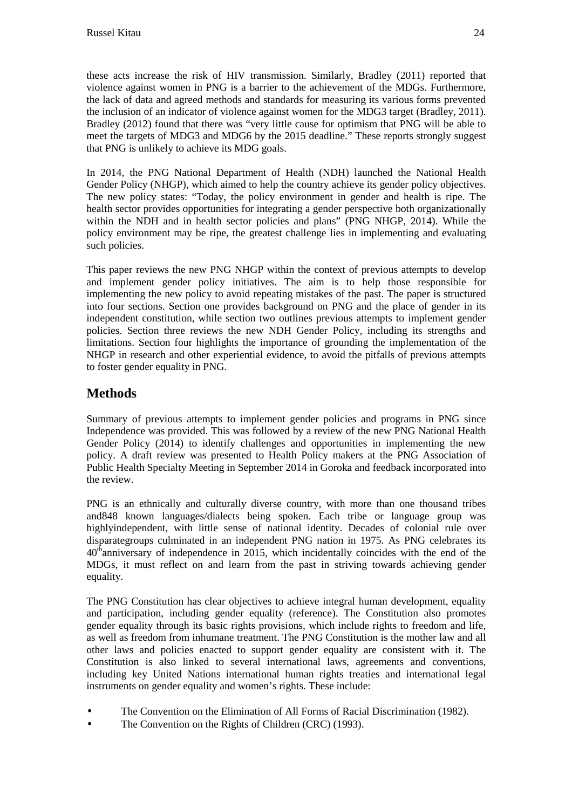these acts increase the risk of HIV transmission. Similarly, Bradley (2011) reported that violence against women in PNG is a barrier to the achievement of the MDGs. Furthermore, the lack of data and agreed methods and standards for measuring its various forms prevented the inclusion of an indicator of violence against women for the MDG3 target (Bradley, 2011). Bradley (2012) found that there was "very little cause for optimism that PNG will be able to meet the targets of MDG3 and MDG6 by the 2015 deadline." These reports strongly suggest that PNG is unlikely to achieve its MDG goals.

In 2014, the PNG National Department of Health (NDH) launched the National Health Gender Policy (NHGP), which aimed to help the country achieve its gender policy objectives. The new policy states: "Today, the policy environment in gender and health is ripe. The health sector provides opportunities for integrating a gender perspective both organizationally within the NDH and in health sector policies and plans" (PNG NHGP, 2014). While the policy environment may be ripe, the greatest challenge lies in implementing and evaluating such policies.

This paper reviews the new PNG NHGP within the context of previous attempts to develop and implement gender policy initiatives. The aim is to help those responsible for implementing the new policy to avoid repeating mistakes of the past. The paper is structured into four sections. Section one provides background on PNG and the place of gender in its independent constitution, while section two outlines previous attempts to implement gender policies. Section three reviews the new NDH Gender Policy, including its strengths and limitations. Section four highlights the importance of grounding the implementation of the NHGP in research and other experiential evidence, to avoid the pitfalls of previous attempts to foster gender equality in PNG.

# **Methods**

Summary of previous attempts to implement gender policies and programs in PNG since Independence was provided. This was followed by a review of the new PNG National Health Gender Policy (2014) to identify challenges and opportunities in implementing the new policy. A draft review was presented to Health Policy makers at the PNG Association of Public Health Specialty Meeting in September 2014 in Goroka and feedback incorporated into the review.

PNG is an ethnically and culturally diverse country, with more than one thousand tribes and848 known languages/dialects being spoken. Each tribe or language group was highlyindependent, with little sense of national identity. Decades of colonial rule over disparategroups culminated in an independent PNG nation in 1975. As PNG celebrates its  $40<sup>th</sup>$ anniversary of independence in 2015, which incidentally coincides with the end of the MDGs, it must reflect on and learn from the past in striving towards achieving gender equality.

The PNG Constitution has clear objectives to achieve integral human development, equality and participation, including gender equality (reference). The Constitution also promotes gender equality through its basic rights provisions, which include rights to freedom and life, as well as freedom from inhumane treatment. The PNG Constitution is the mother law and all other laws and policies enacted to support gender equality are consistent with it. The Constitution is also linked to several international laws, agreements and conventions, including key United Nations international human rights treaties and international legal instruments on gender equality and women's rights. These include:

- The Convention on the Elimination of All Forms of Racial Discrimination (1982).
- The Convention on the Rights of Children (CRC) (1993).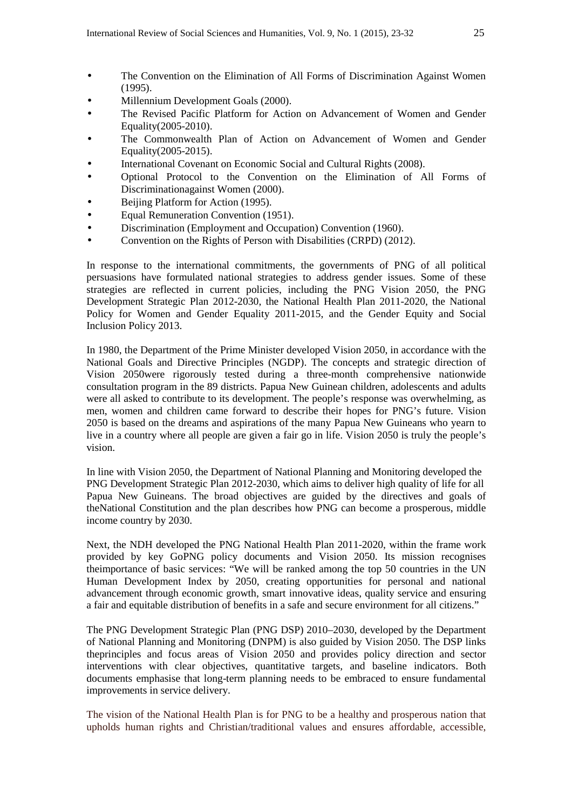- The Convention on the Elimination of All Forms of Discrimination Against Women (1995).
- Millennium Development Goals (2000).
- The Revised Pacific Platform for Action on Advancement of Women and Gender Equality(2005-2010).
- The Commonwealth Plan of Action on Advancement of Women and Gender Equality(2005-2015).
- International Covenant on Economic Social and Cultural Rights (2008).
- Optional Protocol to the Convention on the Elimination of All Forms of Discriminationagainst Women (2000).
- Beijing Platform for Action (1995).
- Equal Remuneration Convention (1951).
- Discrimination (Employment and Occupation) Convention (1960).
- Convention on the Rights of Person with Disabilities (CRPD) (2012).

In response to the international commitments, the governments of PNG of all political persuasions have formulated national strategies to address gender issues. Some of these strategies are reflected in current policies, including the PNG Vision 2050, the PNG Development Strategic Plan 2012-2030, the National Health Plan 2011-2020, the National Policy for Women and Gender Equality 2011-2015, and the Gender Equity and Social Inclusion Policy 2013.

In 1980, the Department of the Prime Minister developed Vision 2050, in accordance with the National Goals and Directive Principles (NGDP). The concepts and strategic direction of Vision 2050were rigorously tested during a three-month comprehensive nationwide consultation program in the 89 districts. Papua New Guinean children, adolescents and adults were all asked to contribute to its development. The people's response was overwhelming, as men, women and children came forward to describe their hopes for PNG's future. Vision 2050 is based on the dreams and aspirations of the many Papua New Guineans who yearn to live in a country where all people are given a fair go in life. Vision 2050 is truly the people's vision.

In line with Vision 2050, the Department of National Planning and Monitoring developed the PNG Development Strategic Plan 2012-2030, which aims to deliver high quality of life for all Papua New Guineans. The broad objectives are guided by the directives and goals of theNational Constitution and the plan describes how PNG can become a prosperous, middle income country by 2030.

Next, the NDH developed the PNG National Health Plan 2011-2020, within the frame work provided by key GoPNG policy documents and Vision 2050. Its mission recognises theimportance of basic services: "We will be ranked among the top 50 countries in the UN Human Development Index by 2050, creating opportunities for personal and national advancement through economic growth, smart innovative ideas, quality service and ensuring a fair and equitable distribution of benefits in a safe and secure environment for all citizens."

The PNG Development Strategic Plan (PNG DSP) 2010–2030, developed by the Department of National Planning and Monitoring (DNPM) is also guided by Vision 2050. The DSP links theprinciples and focus areas of Vision 2050 and provides policy direction and sector interventions with clear objectives, quantitative targets, and baseline indicators. Both documents emphasise that long-term planning needs to be embraced to ensure fundamental improvements in service delivery.

The vision of the National Health Plan is for PNG to be a healthy and prosperous nation that upholds human rights and Christian/traditional values and ensures affordable, accessible,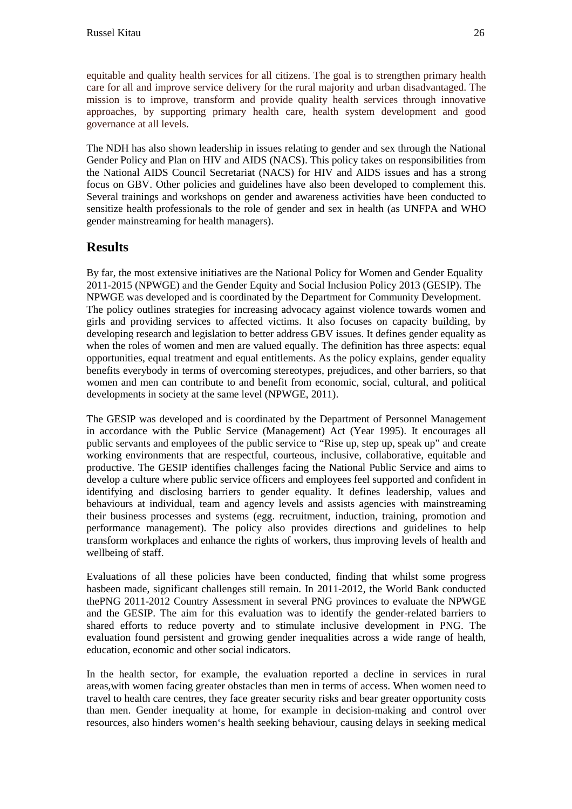equitable and quality health services for all citizens. The goal is to strengthen primary health care for all and improve service delivery for the rural majority and urban disadvantaged. The mission is to improve, transform and provide quality health services through innovative approaches, by supporting primary health care, health system development and good governance at all levels.

The NDH has also shown leadership in issues relating to gender and sex through the National Gender Policy and Plan on HIV and AIDS (NACS). This policy takes on responsibilities from the National AIDS Council Secretariat (NACS) for HIV and AIDS issues and has a strong focus on GBV. Other policies and guidelines have also been developed to complement this. Several trainings and workshops on gender and awareness activities have been conducted to sensitize health professionals to the role of gender and sex in health (as UNFPA and WHO gender mainstreaming for health managers).

# **Results**

By far, the most extensive initiatives are the National Policy for Women and Gender Equality 2011-2015 (NPWGE) and the Gender Equity and Social Inclusion Policy 2013 (GESIP). The NPWGE was developed and is coordinated by the Department for Community Development. The policy outlines strategies for increasing advocacy against violence towards women and girls and providing services to affected victims. It also focuses on capacity building, by developing research and legislation to better address GBV issues. It defines gender equality as when the roles of women and men are valued equally. The definition has three aspects: equal opportunities, equal treatment and equal entitlements. As the policy explains, gender equality benefits everybody in terms of overcoming stereotypes, prejudices, and other barriers, so that women and men can contribute to and benefit from economic, social, cultural, and political developments in society at the same level (NPWGE, 2011).

The GESIP was developed and is coordinated by the Department of Personnel Management in accordance with the Public Service (Management) Act (Year 1995). It encourages all public servants and employees of the public service to "Rise up, step up, speak up" and create working environments that are respectful, courteous, inclusive, collaborative, equitable and productive. The GESIP identifies challenges facing the National Public Service and aims to develop a culture where public service officers and employees feel supported and confident in identifying and disclosing barriers to gender equality. It defines leadership, values and behaviours at individual, team and agency levels and assists agencies with mainstreaming their business processes and systems (egg. recruitment, induction, training, promotion and performance management). The policy also provides directions and guidelines to help transform workplaces and enhance the rights of workers, thus improving levels of health and wellbeing of staff.

Evaluations of all these policies have been conducted, finding that whilst some progress hasbeen made, significant challenges still remain. In 2011-2012, the World Bank conducted thePNG 2011-2012 Country Assessment in several PNG provinces to evaluate the NPWGE and the GESIP. The aim for this evaluation was to identify the gender-related barriers to shared efforts to reduce poverty and to stimulate inclusive development in PNG. The evaluation found persistent and growing gender inequalities across a wide range of health, education, economic and other social indicators.

In the health sector, for example, the evaluation reported a decline in services in rural areas,with women facing greater obstacles than men in terms of access. When women need to travel to health care centres, they face greater security risks and bear greater opportunity costs than men. Gender inequality at home, for example in decision-making and control over resources, also hinders women's health seeking behaviour, causing delays in seeking medical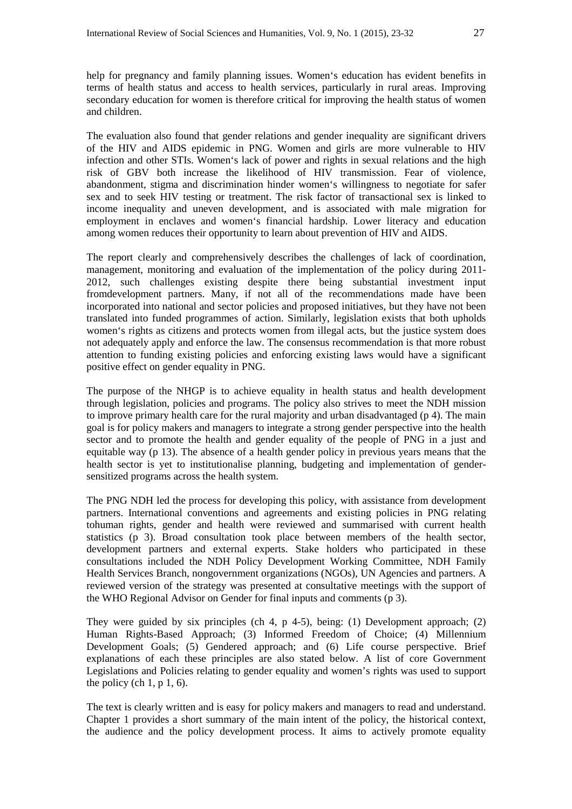help for pregnancy and family planning issues. Women's education has evident benefits in terms of health status and access to health services, particularly in rural areas. Improving secondary education for women is therefore critical for improving the health status of women and children.

The evaluation also found that gender relations and gender inequality are significant drivers of the HIV and AIDS epidemic in PNG. Women and girls are more vulnerable to HIV infection and other STIs. Women's lack of power and rights in sexual relations and the high risk of GBV both increase the likelihood of HIV transmission. Fear of violence, abandonment, stigma and discrimination hinder women's willingness to negotiate for safer sex and to seek HIV testing or treatment. The risk factor of transactional sex is linked to income inequality and uneven development, and is associated with male migration for employment in enclaves and women's financial hardship. Lower literacy and education among women reduces their opportunity to learn about prevention of HIV and AIDS.

The report clearly and comprehensively describes the challenges of lack of coordination, management, monitoring and evaluation of the implementation of the policy during 2011- 2012, such challenges existing despite there being substantial investment input fromdevelopment partners. Many, if not all of the recommendations made have been incorporated into national and sector policies and proposed initiatives, but they have not been translated into funded programmes of action. Similarly, legislation exists that both upholds women's rights as citizens and protects women from illegal acts, but the justice system does not adequately apply and enforce the law. The consensus recommendation is that more robust attention to funding existing policies and enforcing existing laws would have a significant positive effect on gender equality in PNG.

The purpose of the NHGP is to achieve equality in health status and health development through legislation, policies and programs. The policy also strives to meet the NDH mission to improve primary health care for the rural majority and urban disadvantaged (p 4). The main goal is for policy makers and managers to integrate a strong gender perspective into the health sector and to promote the health and gender equality of the people of PNG in a just and equitable way (p 13). The absence of a health gender policy in previous years means that the health sector is yet to institutionalise planning, budgeting and implementation of gendersensitized programs across the health system.

The PNG NDH led the process for developing this policy, with assistance from development partners. International conventions and agreements and existing policies in PNG relating tohuman rights, gender and health were reviewed and summarised with current health statistics (p 3). Broad consultation took place between members of the health sector, development partners and external experts. Stake holders who participated in these consultations included the NDH Policy Development Working Committee, NDH Family Health Services Branch, nongovernment organizations (NGOs), UN Agencies and partners. A reviewed version of the strategy was presented at consultative meetings with the support of the WHO Regional Advisor on Gender for final inputs and comments (p 3).

They were guided by six principles (ch 4, p 4-5), being: (1) Development approach; (2) Human Rights-Based Approach; (3) Informed Freedom of Choice; (4) Millennium Development Goals; (5) Gendered approach; and (6) Life course perspective. Brief explanations of each these principles are also stated below. A list of core Government Legislations and Policies relating to gender equality and women's rights was used to support the policy (ch  $1, p 1, 6$ ).

The text is clearly written and is easy for policy makers and managers to read and understand. Chapter 1 provides a short summary of the main intent of the policy, the historical context, the audience and the policy development process. It aims to actively promote equality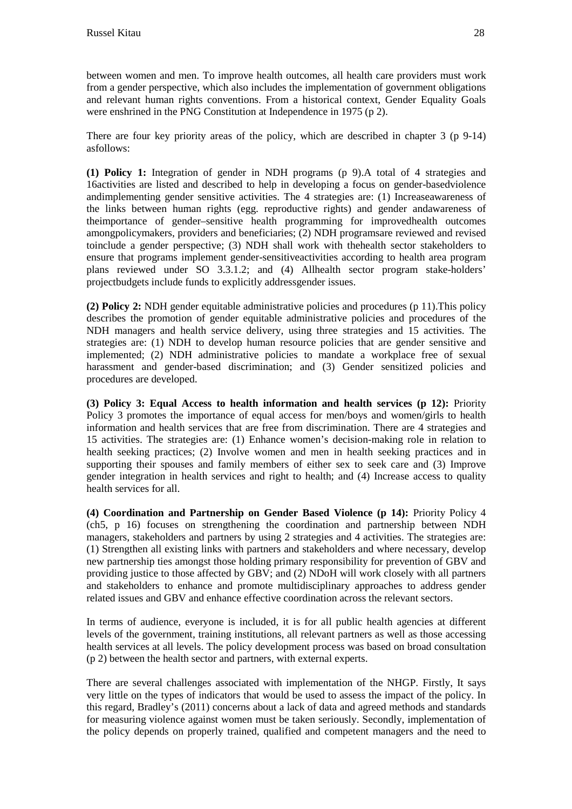between women and men. To improve health outcomes, all health care providers must work from a gender perspective, which also includes the implementation of government obligations and relevant human rights conventions. From a historical context, Gender Equality Goals were enshrined in the PNG Constitution at Independence in 1975 (p 2).

There are four key priority areas of the policy, which are described in chapter 3 (p 9-14) asfollows:

**(1) Policy 1:** Integration of gender in NDH programs (p 9).A total of 4 strategies and 16activities are listed and described to help in developing a focus on gender-basedviolence andimplementing gender sensitive activities. The 4 strategies are: (1) Increaseawareness of the links between human rights (egg. reproductive rights) and gender andawareness of theimportance of gender–sensitive health programming for improvedhealth outcomes amongpolicymakers, providers and beneficiaries; (2) NDH programsare reviewed and revised toinclude a gender perspective; (3) NDH shall work with thehealth sector stakeholders to ensure that programs implement gender-sensitiveactivities according to health area program plans reviewed under SO 3.3.1.2; and (4) Allhealth sector program stake-holders' projectbudgets include funds to explicitly addressgender issues.

**(2) Policy 2:** NDH gender equitable administrative policies and procedures (p 11).This policy describes the promotion of gender equitable administrative policies and procedures of the NDH managers and health service delivery, using three strategies and 15 activities. The strategies are: (1) NDH to develop human resource policies that are gender sensitive and implemented; (2) NDH administrative policies to mandate a workplace free of sexual harassment and gender-based discrimination; and (3) Gender sensitized policies and procedures are developed.

**(3) Policy 3: Equal Access to health information and health services (p 12):** Priority Policy 3 promotes the importance of equal access for men/boys and women/girls to health information and health services that are free from discrimination. There are 4 strategies and 15 activities. The strategies are: (1) Enhance women's decision-making role in relation to health seeking practices; (2) Involve women and men in health seeking practices and in supporting their spouses and family members of either sex to seek care and (3) Improve gender integration in health services and right to health; and (4) Increase access to quality health services for all.

**(4) Coordination and Partnership on Gender Based Violence (p 14):** Priority Policy 4 (ch5, p 16) focuses on strengthening the coordination and partnership between NDH managers, stakeholders and partners by using 2 strategies and 4 activities. The strategies are: (1) Strengthen all existing links with partners and stakeholders and where necessary, develop new partnership ties amongst those holding primary responsibility for prevention of GBV and providing justice to those affected by GBV; and (2) NDoH will work closely with all partners and stakeholders to enhance and promote multidisciplinary approaches to address gender related issues and GBV and enhance effective coordination across the relevant sectors.

In terms of audience, everyone is included, it is for all public health agencies at different levels of the government, training institutions, all relevant partners as well as those accessing health services at all levels. The policy development process was based on broad consultation (p 2) between the health sector and partners, with external experts.

There are several challenges associated with implementation of the NHGP. Firstly, It says very little on the types of indicators that would be used to assess the impact of the policy. In this regard, Bradley's (2011) concerns about a lack of data and agreed methods and standards for measuring violence against women must be taken seriously. Secondly, implementation of the policy depends on properly trained, qualified and competent managers and the need to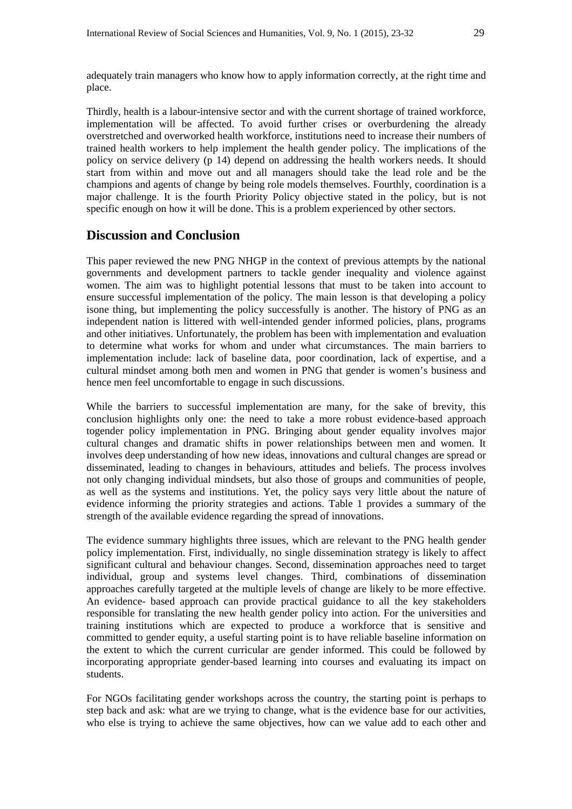adequately train managers who know how to apply information correctly, at the right time and place.

Thirdly, health is a labour-intensive sector and with the current shortage of trained workforce, implementation will be affected. To avoid further crises or overburdening the already overstretched and overworked health workforce, institutions need to increase their numbers of trained health workers to help implement the health gender policy. The implications of the policy on service delivery (p 14) depend on addressing the health workers needs. It should start from within and move out and all managers should take the lead role and be the champions and agents of change by being role models themselves. Fourthly, coordination is a major challenge. It is the fourth Priority Policy objective stated in the policy, but is not specific enough on how it will be done. This is a problem experienced by other sectors.

## **Discussion and Conclusion**

This paper reviewed the new PNG NHGP in the context of previous attempts by the national governments and development partners to tackle gender inequality and violence against women. The aim was to highlight potential lessons that must to be taken into account to ensure successful implementation of the policy. The main lesson is that developing a policy isone thing, but implementing the policy successfully is another. The history of PNG as an independent nation is littered with well-intended gender informed policies, plans, programs and other initiatives. Unfortunately, the problem has been with implementation and evaluation to determine what works for whom and under what circumstances. The main barriers to implementation include: lack of baseline data, poor coordination, lack of expertise, and a cultural mindset among both men and women in PNG that gender is women's business and hence men feel uncomfortable to engage in such discussions.

While the barriers to successful implementation are many, for the sake of brevity, this conclusion highlights only one: the need to take a more robust evidence-based approach togender policy implementation in PNG. Bringing about gender equality involves major cultural changes and dramatic shifts in power relationships between men and women. It involves deep understanding of how new ideas, innovations and cultural changes are spread or disseminated, leading to changes in behaviours, attitudes and beliefs. The process involves not only changing individual mindsets, but also those of groups and communities of people, as well as the systems and institutions. Yet, the policy says very little about the nature of evidence informing the priority strategies and actions. Table 1 provides a summary of the strength of the available evidence regarding the spread of innovations.

The evidence summary highlights three issues, which are relevant to the PNG health gender policy implementation. First, individually, no single dissemination strategy is likely to affect significant cultural and behaviour changes. Second, dissemination approaches need to target individual, group and systems level changes. Third, combinations of dissemination approaches carefully targeted at the multiple levels of change are likely to be more effective. An evidence- based approach can provide practical guidance to all the key stakeholders responsible for translating the new health gender policy into action. For the universities and training institutions which are expected to produce a workforce that is sensitive and committed to gender equity, a useful starting point is to have reliable baseline information on the extent to which the current curricular are gender informed. This could be followed by incorporating appropriate gender-based learning into courses and evaluating its impact on students.

For NGOs facilitating gender workshops across the country, the starting point is perhaps to step back and ask: what are we trying to change, what is the evidence base for our activities, who else is trying to achieve the same objectives, how can we value add to each other and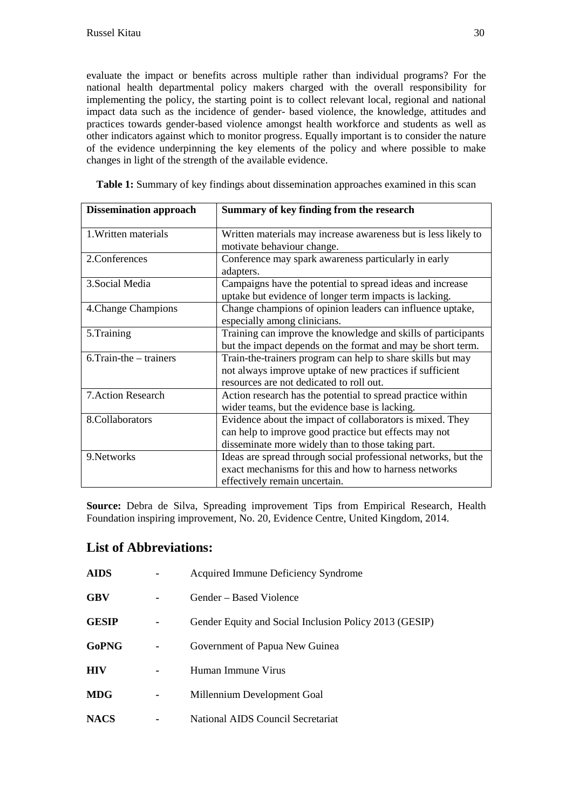evaluate the impact or benefits across multiple rather than individual programs? For the national health departmental policy makers charged with the overall responsibility for implementing the policy, the starting point is to collect relevant local, regional and national impact data such as the incidence of gender- based violence, the knowledge, attitudes and practices towards gender-based violence amongst health workforce and students as well as other indicators against which to monitor progress. Equally important is to consider the nature of the evidence underpinning the key elements of the policy and where possible to make changes in light of the strength of the available evidence.

|  |  |  |  |  | Table 1: Summary of key findings about dissemination approaches examined in this scan |  |  |  |
|--|--|--|--|--|---------------------------------------------------------------------------------------|--|--|--|
|--|--|--|--|--|---------------------------------------------------------------------------------------|--|--|--|

| <b>Dissemination approach</b> | Summary of key finding from the research                       |
|-------------------------------|----------------------------------------------------------------|
| 1. Written materials          | Written materials may increase awareness but is less likely to |
|                               | motivate behaviour change.                                     |
| 2. Conferences                | Conference may spark awareness particularly in early           |
|                               | adapters.                                                      |
| 3. Social Media               | Campaigns have the potential to spread ideas and increase      |
|                               | uptake but evidence of longer term impacts is lacking.         |
| 4. Change Champions           | Change champions of opinion leaders can influence uptake,      |
|                               | especially among clinicians.                                   |
| 5.Training                    | Training can improve the knowledge and skills of participants  |
|                               | but the impact depends on the format and may be short term.    |
| $6.$ Train-the $-$ trainers   | Train-the-trainers program can help to share skills but may    |
|                               | not always improve uptake of new practices if sufficient       |
|                               | resources are not dedicated to roll out.                       |
| <b>7. Action Research</b>     | Action research has the potential to spread practice within    |
|                               | wider teams, but the evidence base is lacking.                 |
| 8.Collaborators               | Evidence about the impact of collaborators is mixed. They      |
|                               | can help to improve good practice but effects may not          |
|                               | disseminate more widely than to those taking part.             |
| 9. Networks                   | Ideas are spread through social professional networks, but the |
|                               | exact mechanisms for this and how to harness networks          |
|                               | effectively remain uncertain.                                  |

**Source:** Debra de Silva, Spreading improvement Tips from Empirical Research, Health Foundation inspiring improvement, No. 20, Evidence Centre, United Kingdom, 2014.

# **List of Abbreviations:**

| <b>AIDS</b>  | Acquired Immune Deficiency Syndrome                    |
|--------------|--------------------------------------------------------|
| <b>GBV</b>   | Gender – Based Violence                                |
| <b>GESIP</b> | Gender Equity and Social Inclusion Policy 2013 (GESIP) |
| <b>GoPNG</b> | Government of Papua New Guinea                         |
| <b>HIV</b>   | Human Immune Virus                                     |
| <b>MDG</b>   | Millennium Development Goal                            |
| <b>NACS</b>  | National AIDS Council Secretariat                      |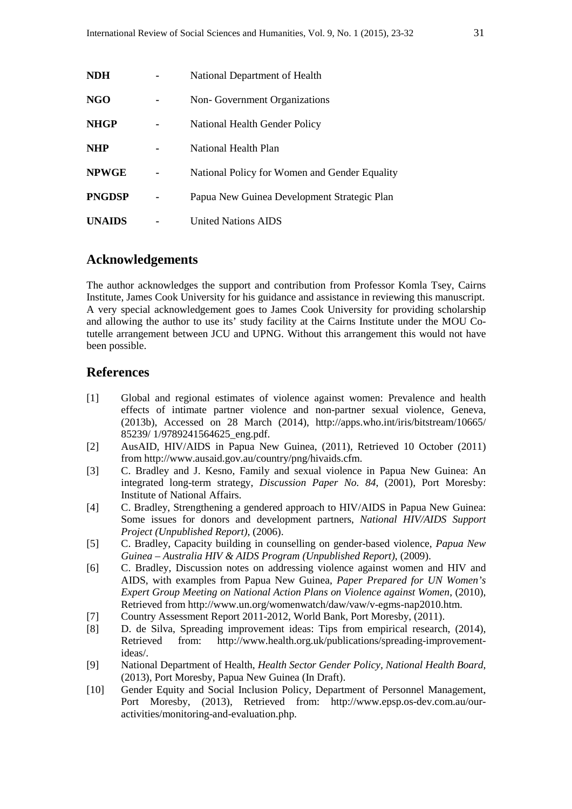| <b>NDH</b>    | National Department of Health                 |
|---------------|-----------------------------------------------|
| NGO           | Non-Government Organizations                  |
| <b>NHGP</b>   | National Health Gender Policy                 |
| <b>NHP</b>    | National Health Plan                          |
| <b>NPWGE</b>  | National Policy for Women and Gender Equality |
| <b>PNGDSP</b> | Papua New Guinea Development Strategic Plan   |
| <b>UNAIDS</b> | <b>United Nations AIDS</b>                    |

### **Acknowledgements**

The author acknowledges the support and contribution from Professor Komla Tsey, Cairns Institute, James Cook University for his guidance and assistance in reviewing this manuscript. A very special acknowledgement goes to James Cook University for providing scholarship and allowing the author to use its' study facility at the Cairns Institute under the MOU Cotutelle arrangement between JCU and UPNG. Without this arrangement this would not have been possible.

#### **References**

- [1] Global and regional estimates of violence against women: Prevalence and health effects of intimate partner violence and non-partner sexual violence, Geneva, (2013b), Accessed on 28 March (2014), http://apps.who.int/iris/bitstream/10665/ 85239/ 1/9789241564625\_eng.pdf.
- [2] AusAID, HIV/AIDS in Papua New Guinea, (2011), Retrieved 10 October (2011) from http://www.ausaid.gov.au/country/png/hivaids.cfm.
- [3] C. Bradley and J. Kesno, Family and sexual violence in Papua New Guinea: An integrated long-term strategy, *Discussion Paper No. 84*, (2001), Port Moresby: Institute of National Affairs.
- [4] C. Bradley, Strengthening a gendered approach to HIV/AIDS in Papua New Guinea: Some issues for donors and development partners, *National HIV/AIDS Support Project (Unpublished Report)*, (2006).
- [5] C. Bradley, Capacity building in counselling on gender-based violence, *Papua New Guinea – Australia HIV & AIDS Program (Unpublished Report)*, (2009).
- [6] C. Bradley, Discussion notes on addressing violence against women and HIV and AIDS, with examples from Papua New Guinea, *Paper Prepared for UN Women's Expert Group Meeting on National Action Plans on Violence against Women*, (2010), Retrieved from http://www.un.org/womenwatch/daw/vaw/v-egms-nap2010.htm.
- [7] Country Assessment Report 2011-2012, World Bank, Port Moresby, (2011).
- [8] D. de Silva, Spreading improvement ideas: Tips from empirical research, (2014), Retrieved from: http://www.health.org.uk/publications/spreading-improvementideas/.
- [9] National Department of Health, *Health Sector Gender Policy, National Health Board*, (2013), Port Moresby, Papua New Guinea (In Draft).
- [10] Gender Equity and Social Inclusion Policy, Department of Personnel Management, Port Moresby, (2013), Retrieved from: http://www.epsp.os-dev.com.au/ouractivities/monitoring-and-evaluation.php.